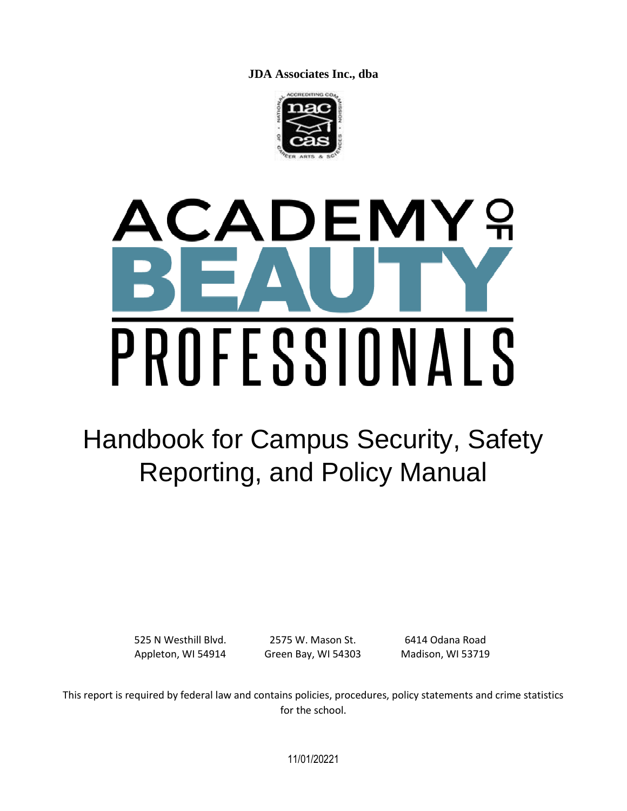**JDA Associates Inc., dba**



# $\mathbf{Q}$ **CADEMY** PROFESSIONALS

## Handbook for Campus Security, Safety Reporting, and Policy Manual

525 N Westhill Blvd. Appleton, WI 54914

2575 W. Mason St. Green Bay, WI 54303

6414 Odana Road Madison, WI 53719

This report is required by federal law and contains policies, procedures, policy statements and crime statistics for the school.

11/01/20221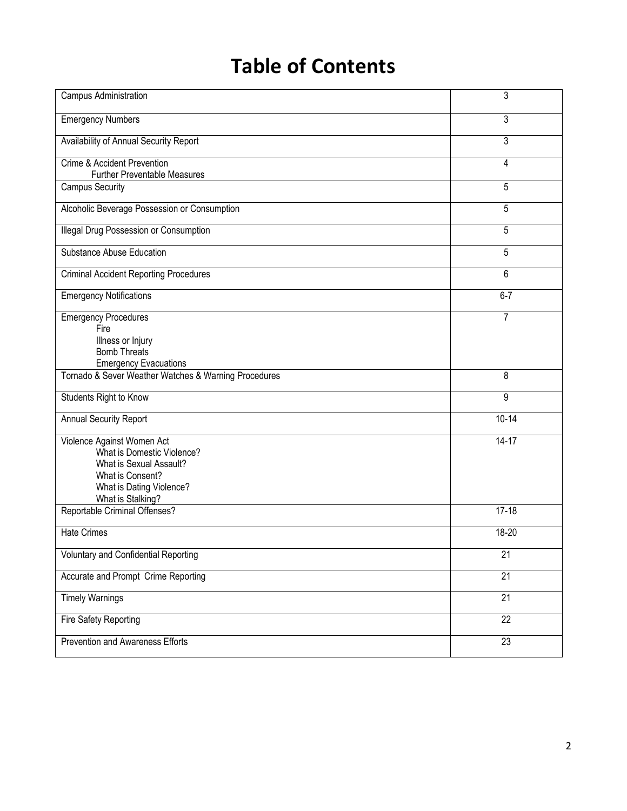### **Table of Contents**

| Campus Administration                                                                                                                                    | 3               |
|----------------------------------------------------------------------------------------------------------------------------------------------------------|-----------------|
| <b>Emergency Numbers</b>                                                                                                                                 | 3               |
| Availability of Annual Security Report                                                                                                                   | 3               |
| Crime & Accident Prevention<br><b>Further Preventable Measures</b>                                                                                       | 4               |
| <b>Campus Security</b>                                                                                                                                   | 5               |
| Alcoholic Beverage Possession or Consumption                                                                                                             | 5               |
| Illegal Drug Possession or Consumption                                                                                                                   | 5               |
| Substance Abuse Education                                                                                                                                | 5               |
| <b>Criminal Accident Reporting Procedures</b>                                                                                                            | 6               |
| <b>Emergency Notifications</b>                                                                                                                           | $6 - 7$         |
| <b>Emergency Procedures</b><br>Fire<br>Illness or Injury<br><b>Bomb Threats</b><br><b>Emergency Evacuations</b>                                          | 7               |
| Tornado & Sever Weather Watches & Warning Procedures                                                                                                     | 8               |
| Students Right to Know                                                                                                                                   | 9               |
| Annual Security Report                                                                                                                                   | $10 - 14$       |
| Violence Against Women Act<br>What is Domestic Violence?<br>What is Sexual Assault?<br>What is Consent?<br>What is Dating Violence?<br>What is Stalking? | $14 - 17$       |
| Reportable Criminal Offenses?                                                                                                                            | $17 - 18$       |
| <b>Hate Crimes</b>                                                                                                                                       | 18-20           |
| Voluntary and Confidential Reporting                                                                                                                     | 21              |
| Accurate and Prompt Crime Reporting                                                                                                                      | 21              |
| <b>Timely Warnings</b>                                                                                                                                   | 21              |
| <b>Fire Safety Reporting</b>                                                                                                                             | $\overline{22}$ |
| Prevention and Awareness Efforts                                                                                                                         | $\overline{23}$ |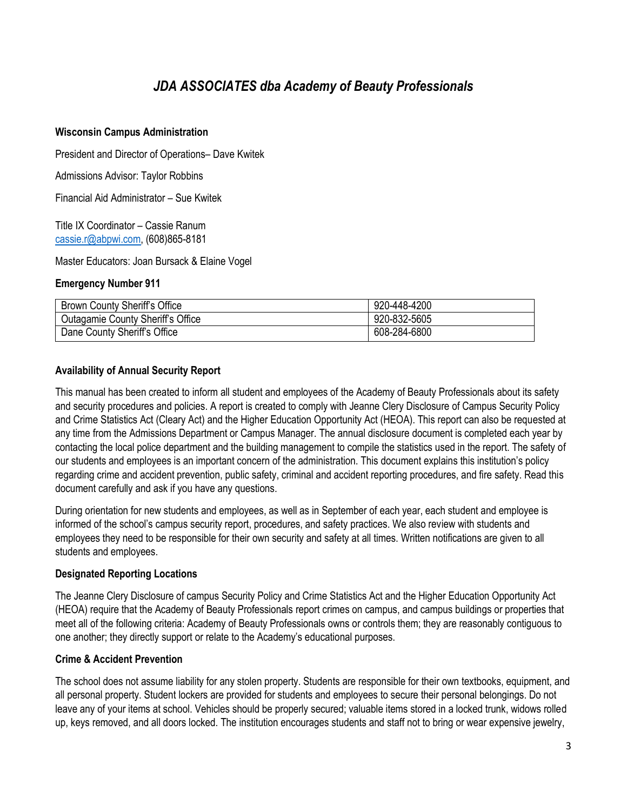#### *JDA ASSOCIATES dba Academy of Beauty Professionals*

#### **Wisconsin Campus Administration**

President and Director of Operations– Dave Kwitek

Admissions Advisor: Taylor Robbins

Financial Aid Administrator – Sue Kwitek

Title IX Coordinator – Cassie Ranum [cassie.r@abpwi.com,](mailto:cassie.r@abpwi.com) (608)865-8181

Master Educators: Joan Bursack & Elaine Vogel

#### **Emergency Number 911**

| <b>Brown County Sheriff's Office</b> | 920-448-4200 |
|--------------------------------------|--------------|
| Outagamie County Sheriff's Office    | 920-832-5605 |
| Dane County Sheriff's Office         | 608-284-6800 |

#### **Availability of Annual Security Report**

This manual has been created to inform all student and employees of the Academy of Beauty Professionals about its safety and security procedures and policies. A report is created to comply with Jeanne Clery Disclosure of Campus Security Policy and Crime Statistics Act (Cleary Act) and the Higher Education Opportunity Act (HEOA). This report can also be requested at any time from the Admissions Department or Campus Manager. The annual disclosure document is completed each year by contacting the local police department and the building management to compile the statistics used in the report. The safety of our students and employees is an important concern of the administration. This document explains this institution's policy regarding crime and accident prevention, public safety, criminal and accident reporting procedures, and fire safety. Read this document carefully and ask if you have any questions.

During orientation for new students and employees, as well as in September of each year, each student and employee is informed of the school's campus security report, procedures, and safety practices. We also review with students and employees they need to be responsible for their own security and safety at all times. Written notifications are given to all students and employees.

#### **Designated Reporting Locations**

The Jeanne Clery Disclosure of campus Security Policy and Crime Statistics Act and the Higher Education Opportunity Act (HEOA) require that the Academy of Beauty Professionals report crimes on campus, and campus buildings or properties that meet all of the following criteria: Academy of Beauty Professionals owns or controls them; they are reasonably contiguous to one another; they directly support or relate to the Academy's educational purposes.

#### **Crime & Accident Prevention**

The school does not assume liability for any stolen property. Students are responsible for their own textbooks, equipment, and all personal property. Student lockers are provided for students and employees to secure their personal belongings. Do not leave any of your items at school. Vehicles should be properly secured; valuable items stored in a locked trunk, widows rolled up, keys removed, and all doors locked. The institution encourages students and staff not to bring or wear expensive jewelry,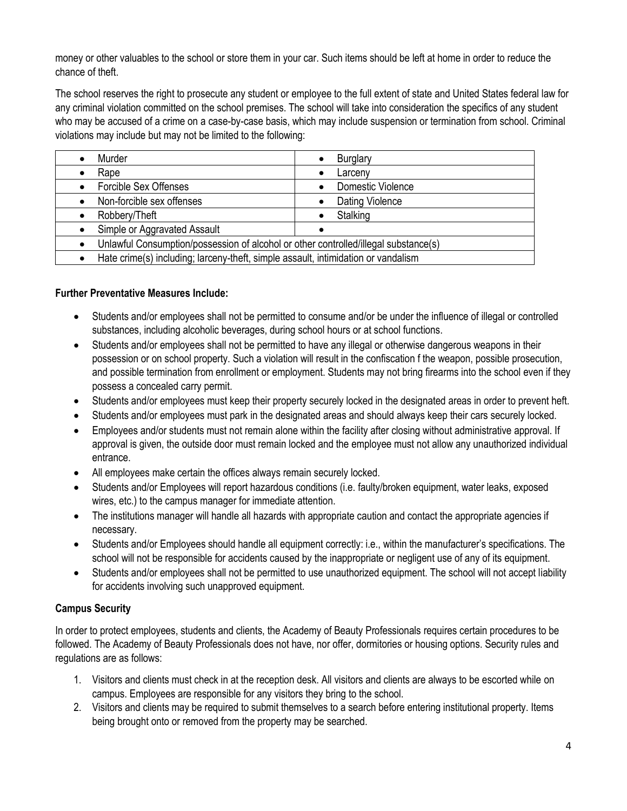money or other valuables to the school or store them in your car. Such items should be left at home in order to reduce the chance of theft.

The school reserves the right to prosecute any student or employee to the full extent of state and United States federal law for any criminal violation committed on the school premises. The school will take into consideration the specifics of any student who may be accused of a crime on a case-by-case basis, which may include suspension or termination from school. Criminal violations may include but may not be limited to the following:

| Murder                       | <b>Burglary</b><br>٠                                                                |  |  |  |  |  |  |  |
|------------------------------|-------------------------------------------------------------------------------------|--|--|--|--|--|--|--|
| Rape                         | Larceny<br>٠                                                                        |  |  |  |  |  |  |  |
| Forcible Sex Offenses        | Domestic Violence                                                                   |  |  |  |  |  |  |  |
| Non-forcible sex offenses    | Dating Violence                                                                     |  |  |  |  |  |  |  |
| Robbery/Theft                | Stalking                                                                            |  |  |  |  |  |  |  |
| Simple or Aggravated Assault |                                                                                     |  |  |  |  |  |  |  |
|                              | Unlawful Consumption/possession of alcohol or other controlled/illegal substance(s) |  |  |  |  |  |  |  |
|                              | Hate crime(s) including; larceny-theft, simple assault, intimidation or vandalism   |  |  |  |  |  |  |  |

#### **Further Preventative Measures Include:**

- Students and/or employees shall not be permitted to consume and/or be under the influence of illegal or controlled substances, including alcoholic beverages, during school hours or at school functions.
- Students and/or employees shall not be permitted to have any illegal or otherwise dangerous weapons in their possession or on school property. Such a violation will result in the confiscation f the weapon, possible prosecution, and possible termination from enrollment or employment. Students may not bring firearms into the school even if they possess a concealed carry permit.
- Students and/or employees must keep their property securely locked in the designated areas in order to prevent heft.
- Students and/or employees must park in the designated areas and should always keep their cars securely locked.
- Employees and/or students must not remain alone within the facility after closing without administrative approval. If approval is given, the outside door must remain locked and the employee must not allow any unauthorized individual entrance.
- All employees make certain the offices always remain securely locked.
- Students and/or Employees will report hazardous conditions (i.e. faulty/broken equipment, water leaks, exposed wires, etc.) to the campus manager for immediate attention.
- The institutions manager will handle all hazards with appropriate caution and contact the appropriate agencies if necessary.
- Students and/or Employees should handle all equipment correctly: i.e., within the manufacturer's specifications. The school will not be responsible for accidents caused by the inappropriate or negligent use of any of its equipment.
- Students and/or employees shall not be permitted to use unauthorized equipment. The school will not accept liability for accidents involving such unapproved equipment.

#### **Campus Security**

In order to protect employees, students and clients, the Academy of Beauty Professionals requires certain procedures to be followed. The Academy of Beauty Professionals does not have, nor offer, dormitories or housing options. Security rules and regulations are as follows:

- 1. Visitors and clients must check in at the reception desk. All visitors and clients are always to be escorted while on campus. Employees are responsible for any visitors they bring to the school.
- 2. Visitors and clients may be required to submit themselves to a search before entering institutional property. Items being brought onto or removed from the property may be searched.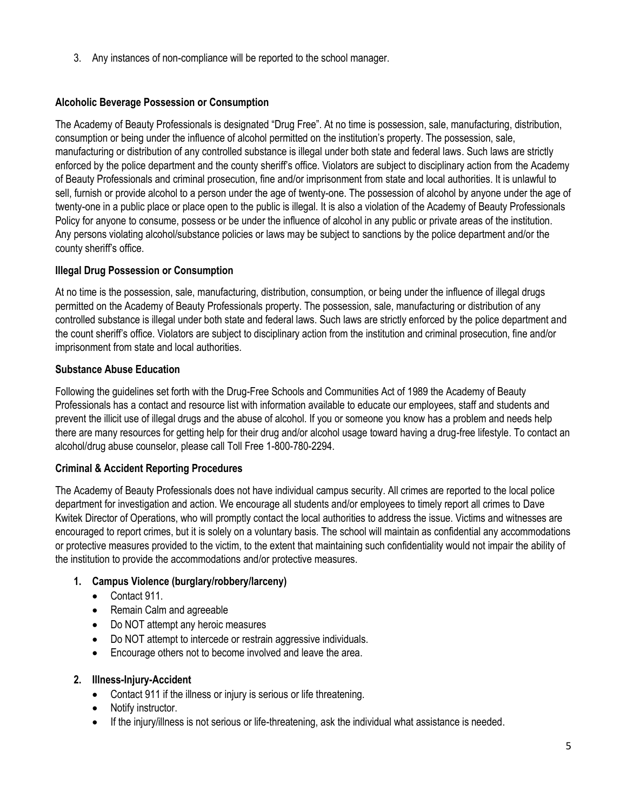3. Any instances of non-compliance will be reported to the school manager.

#### **Alcoholic Beverage Possession or Consumption**

The Academy of Beauty Professionals is designated "Drug Free". At no time is possession, sale, manufacturing, distribution, consumption or being under the influence of alcohol permitted on the institution's property. The possession, sale, manufacturing or distribution of any controlled substance is illegal under both state and federal laws. Such laws are strictly enforced by the police department and the county sheriff's office. Violators are subject to disciplinary action from the Academy of Beauty Professionals and criminal prosecution, fine and/or imprisonment from state and local authorities. It is unlawful to sell, furnish or provide alcohol to a person under the age of twenty-one. The possession of alcohol by anyone under the age of twenty-one in a public place or place open to the public is illegal. It is also a violation of the Academy of Beauty Professionals Policy for anyone to consume, possess or be under the influence of alcohol in any public or private areas of the institution. Any persons violating alcohol/substance policies or laws may be subject to sanctions by the police department and/or the county sheriff's office.

#### **Illegal Drug Possession or Consumption**

At no time is the possession, sale, manufacturing, distribution, consumption, or being under the influence of illegal drugs permitted on the Academy of Beauty Professionals property. The possession, sale, manufacturing or distribution of any controlled substance is illegal under both state and federal laws. Such laws are strictly enforced by the police department and the count sheriff's office. Violators are subject to disciplinary action from the institution and criminal prosecution, fine and/or imprisonment from state and local authorities.

#### **Substance Abuse Education**

Following the guidelines set forth with the Drug-Free Schools and Communities Act of 1989 the Academy of Beauty Professionals has a contact and resource list with information available to educate our employees, staff and students and prevent the illicit use of illegal drugs and the abuse of alcohol. If you or someone you know has a problem and needs help there are many resources for getting help for their drug and/or alcohol usage toward having a drug-free lifestyle. To contact an alcohol/drug abuse counselor, please call Toll Free 1-800-780-2294.

#### **Criminal & Accident Reporting Procedures**

The Academy of Beauty Professionals does not have individual campus security. All crimes are reported to the local police department for investigation and action. We encourage all students and/or employees to timely report all crimes to Dave Kwitek Director of Operations, who will promptly contact the local authorities to address the issue. Victims and witnesses are encouraged to report crimes, but it is solely on a voluntary basis. The school will maintain as confidential any accommodations or protective measures provided to the victim, to the extent that maintaining such confidentiality would not impair the ability of the institution to provide the accommodations and/or protective measures.

#### **1. Campus Violence (burglary/robbery/larceny)**

- Contact 911.
- Remain Calm and agreeable
- Do NOT attempt any heroic measures
- Do NOT attempt to intercede or restrain aggressive individuals.
- Encourage others not to become involved and leave the area.
- **2. Illness-Injury-Accident**
	- Contact 911 if the illness or injury is serious or life threatening.
	- Notify instructor.
	- If the injury/illness is not serious or life-threatening, ask the individual what assistance is needed.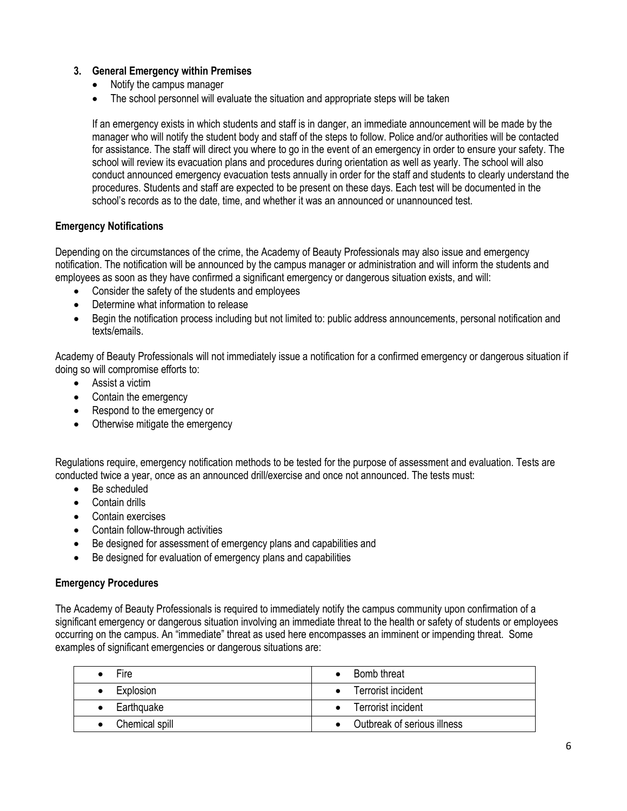#### **3. General Emergency within Premises**

- Notify the campus manager
- The school personnel will evaluate the situation and appropriate steps will be taken

If an emergency exists in which students and staff is in danger, an immediate announcement will be made by the manager who will notify the student body and staff of the steps to follow. Police and/or authorities will be contacted for assistance. The staff will direct you where to go in the event of an emergency in order to ensure your safety. The school will review its evacuation plans and procedures during orientation as well as yearly. The school will also conduct announced emergency evacuation tests annually in order for the staff and students to clearly understand the procedures. Students and staff are expected to be present on these days. Each test will be documented in the school's records as to the date, time, and whether it was an announced or unannounced test.

#### **Emergency Notifications**

Depending on the circumstances of the crime, the Academy of Beauty Professionals may also issue and emergency notification. The notification will be announced by the campus manager or administration and will inform the students and employees as soon as they have confirmed a significant emergency or dangerous situation exists, and will:

- Consider the safety of the students and employees
- Determine what information to release
- Begin the notification process including but not limited to: public address announcements, personal notification and texts/emails.

Academy of Beauty Professionals will not immediately issue a notification for a confirmed emergency or dangerous situation if doing so will compromise efforts to:

- Assist a victim
- Contain the emergency
- Respond to the emergency or
- Otherwise mitigate the emergency

Regulations require, emergency notification methods to be tested for the purpose of assessment and evaluation. Tests are conducted twice a year, once as an announced drill/exercise and once not announced. The tests must:

- Be scheduled
- Contain drills
- Contain exercises
- Contain follow-through activities
- Be designed for assessment of emergency plans and capabilities and
- Be designed for evaluation of emergency plans and capabilities

#### **Emergency Procedures**

The Academy of Beauty Professionals is required to immediately notify the campus community upon confirmation of a significant emergency or dangerous situation involving an immediate threat to the health or safety of students or employees occurring on the campus. An "immediate" threat as used here encompasses an imminent or impending threat. Some examples of significant emergencies or dangerous situations are:

| <b>Fire</b>                 | • Bomb threat               |
|-----------------------------|-----------------------------|
| Explosion                   | • Terrorist incident        |
| Earthquake<br>$\bullet$     | • Terrorist incident        |
| Chemical spill<br>$\bullet$ | Outbreak of serious illness |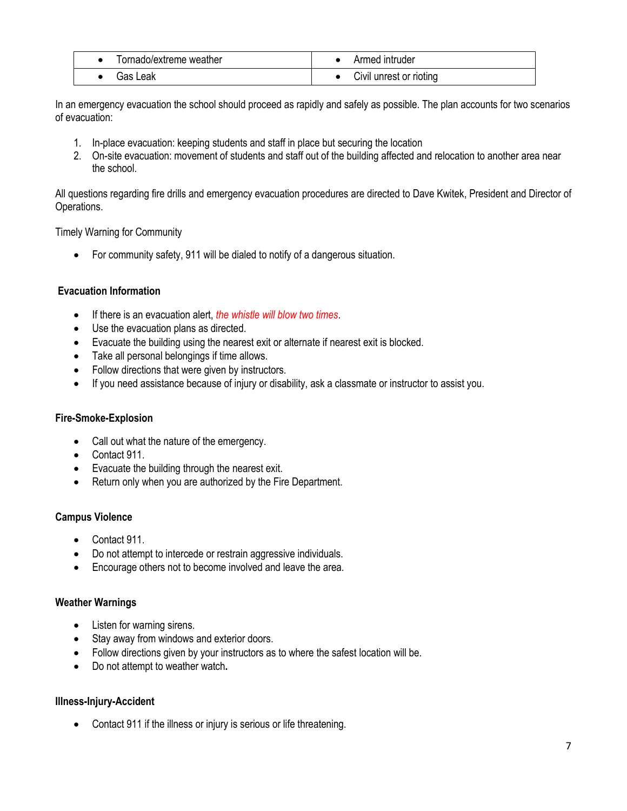| Tornado/extreme weather | Armed intruder          |
|-------------------------|-------------------------|
| Gas Leak                | Civil unrest or rioting |

In an emergency evacuation the school should proceed as rapidly and safely as possible. The plan accounts for two scenarios of evacuation:

- 1. In-place evacuation: keeping students and staff in place but securing the location
- 2. On-site evacuation: movement of students and staff out of the building affected and relocation to another area near the school.

All questions regarding fire drills and emergency evacuation procedures are directed to Dave Kwitek, President and Director of Operations.

Timely Warning for Community

• For community safety, 911 will be dialed to notify of a dangerous situation.

#### **Evacuation Information**

- If there is an evacuation alert, *the whistle will blow two times*.
- Use the evacuation plans as directed.
- Evacuate the building using the nearest exit or alternate if nearest exit is blocked.
- Take all personal belongings if time allows.
- Follow directions that were given by instructors.
- If you need assistance because of injury or disability, ask a classmate or instructor to assist you.

#### **Fire-Smoke-Explosion**

- Call out what the nature of the emergency.
- Contact 911.
- Evacuate the building through the nearest exit.
- Return only when you are authorized by the Fire Department.

#### **Campus Violence**

- Contact 911.
- Do not attempt to intercede or restrain aggressive individuals.
- Encourage others not to become involved and leave the area.

#### **Weather Warnings**

- Listen for warning sirens.
- Stay away from windows and exterior doors.
- Follow directions given by your instructors as to where the safest location will be.
- Do not attempt to weather watch**.**

#### **Illness-Injury-Accident**

• Contact 911 if the illness or injury is serious or life threatening.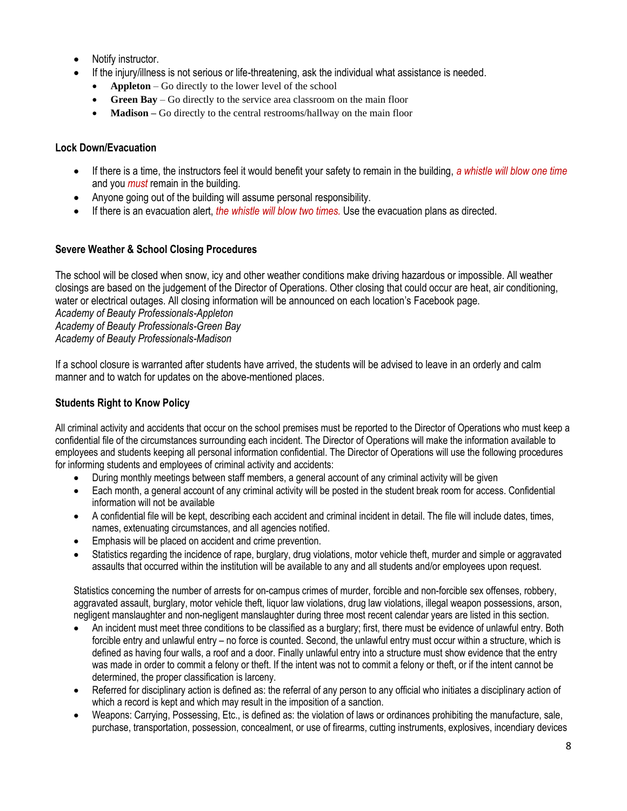- Notify instructor.
- If the injury/illness is not serious or life-threatening, ask the individual what assistance is needed.
	- **Appleton**  Go directly to the lower level of the school
	- **Green Bay** Go directly to the service area classroom on the main floor
	- **Madison –** Go directly to the central restrooms/hallway on the main floor

#### **Lock Down/Evacuation**

- If there is a time, the instructors feel it would benefit your safety to remain in the building, *a whistle will blow one time*  and you *must* remain in the building.
- Anyone going out of the building will assume personal responsibility.
- If there is an evacuation alert, *the whistle will blow two times.* Use the evacuation plans as directed.

#### **Severe Weather & School Closing Procedures**

The school will be closed when snow, icy and other weather conditions make driving hazardous or impossible. All weather closings are based on the judgement of the Director of Operations. Other closing that could occur are heat, air conditioning, water or electrical outages. All closing information will be announced on each location's Facebook page. *Academy of Beauty Professionals-Appleton Academy of Beauty Professionals-Green Bay Academy of Beauty Professionals-Madison*

If a school closure is warranted after students have arrived, the students will be advised to leave in an orderly and calm manner and to watch for updates on the above-mentioned places.

#### **Students Right to Know Policy**

All criminal activity and accidents that occur on the school premises must be reported to the Director of Operations who must keep a confidential file of the circumstances surrounding each incident. The Director of Operations will make the information available to employees and students keeping all personal information confidential. The Director of Operations will use the following procedures for informing students and employees of criminal activity and accidents:

- During monthly meetings between staff members, a general account of any criminal activity will be given
- Each month, a general account of any criminal activity will be posted in the student break room for access. Confidential information will not be available
- A confidential file will be kept, describing each accident and criminal incident in detail. The file will include dates, times, names, extenuating circumstances, and all agencies notified.
- Emphasis will be placed on accident and crime prevention.
- Statistics regarding the incidence of rape, burglary, drug violations, motor vehicle theft, murder and simple or aggravated assaults that occurred within the institution will be available to any and all students and/or employees upon request.

Statistics concerning the number of arrests for on-campus crimes of murder, forcible and non-forcible sex offenses, robbery, aggravated assault, burglary, motor vehicle theft, liquor law violations, drug law violations, illegal weapon possessions, arson, negligent manslaughter and non-negligent manslaughter during three most recent calendar years are listed in this section.

- An incident must meet three conditions to be classified as a burglary; first, there must be evidence of unlawful entry. Both forcible entry and unlawful entry – no force is counted. Second, the unlawful entry must occur within a structure, which is defined as having four walls, a roof and a door. Finally unlawful entry into a structure must show evidence that the entry was made in order to commit a felony or theft. If the intent was not to commit a felony or theft, or if the intent cannot be determined, the proper classification is larceny.
- Referred for disciplinary action is defined as: the referral of any person to any official who initiates a disciplinary action of which a record is kept and which may result in the imposition of a sanction.
- Weapons: Carrying, Possessing, Etc., is defined as: the violation of laws or ordinances prohibiting the manufacture, sale, purchase, transportation, possession, concealment, or use of firearms, cutting instruments, explosives, incendiary devices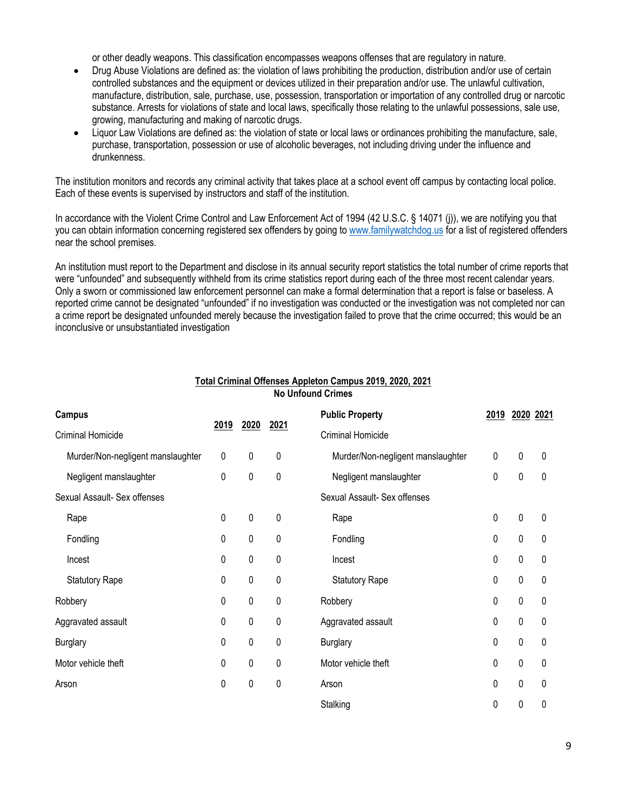or other deadly weapons. This classification encompasses weapons offenses that are regulatory in nature.

- Drug Abuse Violations are defined as: the violation of laws prohibiting the production, distribution and/or use of certain controlled substances and the equipment or devices utilized in their preparation and/or use. The unlawful cultivation, manufacture, distribution, sale, purchase, use, possession, transportation or importation of any controlled drug or narcotic substance. Arrests for violations of state and local laws, specifically those relating to the unlawful possessions, sale use, growing, manufacturing and making of narcotic drugs.
- Liquor Law Violations are defined as: the violation of state or local laws or ordinances prohibiting the manufacture, sale, purchase, transportation, possession or use of alcoholic beverages, not including driving under the influence and drunkenness.

The institution monitors and records any criminal activity that takes place at a school event off campus by contacting local police. Each of these events is supervised by instructors and staff of the institution.

In accordance with the Violent Crime Control and Law Enforcement Act of 1994 (42 U.S.C. § 14071 (j)), we are notifying you that you can obtain information concerning registered sex offenders by going to [www.familywatchdog.us](http://www.familywatchdog.us/) for a list of registered offenders near the school premises.

An institution must report to the Department and disclose in its annual security report statistics the total number of crime reports that were "unfounded" and subsequently withheld from its crime statistics report during each of the three most recent calendar years. Only a sworn or commissioned law enforcement personnel can make a formal determination that a report is false or baseless. A reported crime cannot be designated "unfounded" if no investigation was conducted or the investigation was not completed nor can a crime report be designated unfounded merely because the investigation failed to prove that the crime occurred; this would be an inconclusive or unsubstantiated investigation

| <b>Campus</b>                     |             |           |      | <b>Public Property</b>            | 2019      |           | 2020 2021 |
|-----------------------------------|-------------|-----------|------|-----------------------------------|-----------|-----------|-----------|
| Criminal Homicide                 | 2019        | 2020      | 2021 | Criminal Homicide                 |           |           |           |
| Murder/Non-negligent manslaughter | $\mathbf 0$ | $\pmb{0}$ | 0    | Murder/Non-negligent manslaughter | $\pmb{0}$ | $\pmb{0}$ | 0         |
| Negligent manslaughter            | 0           | $\pmb{0}$ | 0    | Negligent manslaughter            | 0         | $\pmb{0}$ | 0         |
| Sexual Assault- Sex offenses      |             |           |      | Sexual Assault- Sex offenses      |           |           |           |
| Rape                              | $\pmb{0}$   | $\pmb{0}$ | 0    | Rape                              | 0         | 0         | 0         |
| Fondling                          | $\mathbf 0$ | 0         | 0    | Fondling                          | 0         | 0         | 0         |
| Incest                            | 0           | 0         | 0    | Incest                            | 0         | 0         | 0         |
| <b>Statutory Rape</b>             | $\mathbf 0$ | 0         | 0    | <b>Statutory Rape</b>             | 0         | 0         | 0         |
| Robbery                           | $\pmb{0}$   | 0         | 0    | Robbery                           | 0         | 0         | 0         |
| Aggravated assault                | $\pmb{0}$   | 0         | 0    | Aggravated assault                | 0         | 0         | 0         |
| <b>Burglary</b>                   | $\pmb{0}$   | 0         | 0    | <b>Burglary</b>                   | 0         | 0         | 0         |
| Motor vehicle theft               | 0           | 0         | 0    | Motor vehicle theft               | 0         | 0         | 0         |
| Arson                             | 0           | 0         | 0    | Arson                             | 0         | 0         | 0         |
|                                   |             |           |      | Stalking                          | 0         | 0         | 0         |

#### **Total Criminal Offenses Appleton Campus 2019, 2020, 2021 No Unfound Crimes**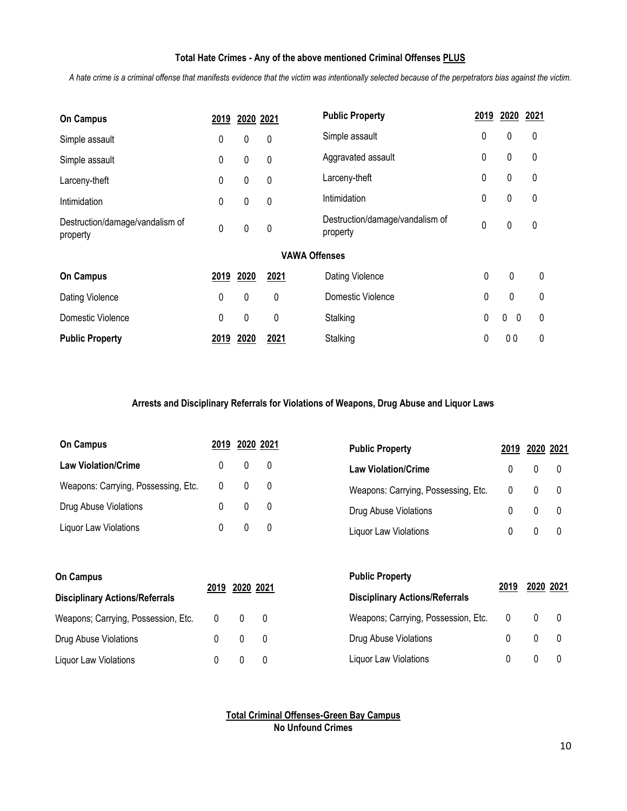#### **Total Hate Crimes - Any of the above mentioned Criminal Offenses PLUS**

*A hate crime is a criminal offense that manifests evidence that the victim was intentionally selected because of the perpetrators bias against the victim.*

| <b>On Campus</b>                            | 2019        | 2020 2021 |                      | <b>Public Property</b>                      | 2019 | 2020                         | 2021 |
|---------------------------------------------|-------------|-----------|----------------------|---------------------------------------------|------|------------------------------|------|
| Simple assault                              | 0           | 0         | 0                    | Simple assault                              | 0    | 0                            | 0    |
| Simple assault                              | 0           | 0         | 0                    | Aggravated assault                          | 0    | $\pmb{0}$                    | 0    |
| Larceny-theft                               | 0           | 0         | 0                    | Larceny-theft                               | 0    | 0                            | 0    |
| Intimidation                                | $\mathbf 0$ | 0         | 0                    | Intimidation                                | 0    | 0                            | 0    |
| Destruction/damage/vandalism of<br>property | $\mathbf 0$ | $\pmb{0}$ | 0                    | Destruction/damage/vandalism of<br>property | 0    | 0                            | 0    |
|                                             |             |           | <b>VAWA Offenses</b> |                                             |      |                              |      |
| <b>On Campus</b>                            | 2019        | 2020      | 2021                 | Dating Violence                             | 0    | 0                            | 0    |
| Dating Violence                             | $\mathbf 0$ | 0         | 0                    | Domestic Violence                           | 0    | 0                            | 0    |
| Domestic Violence                           | 0           | 0         | 0                    | Stalking                                    | 0    | $\mathbf{0}$<br>$\mathbf{0}$ | 0    |
| <b>Public Property</b>                      | 2019        | 2020      | 2021                 | Stalking                                    | 0    | 00                           | 0    |

#### **Arrests and Disciplinary Referrals for Violations of Weapons, Drug Abuse and Liquor Laws**

| <b>On Campus</b>                    | 2019 2020 2021 | <b>Public Property</b>              | 2019 2020 2021 |  |
|-------------------------------------|----------------|-------------------------------------|----------------|--|
| <b>Law Violation/Crime</b>          | 0              | <b>Law Violation/Crime</b>          |                |  |
| Weapons: Carrying, Possessing, Etc. | $\Omega$       | Weapons: Carrying, Possessing, Etc. |                |  |
| Drug Abuse Violations               |                | Drug Abuse Violations               |                |  |
| <b>Liquor Law Violations</b>        |                | Liquor Law Violations               |                |  |

| <b>On Campus</b>                      |              |            | <b>Public Property</b>                | 2019           | 2020 2021 |  |
|---------------------------------------|--------------|------------|---------------------------------------|----------------|-----------|--|
| <b>Disciplinary Actions/Referrals</b> | 2019         | 2020 2021  | <b>Disciplinary Actions/Referrals</b> |                |           |  |
| Weapons; Carrying, Possession, Etc.   | $\mathbf{0}$ | $0\quad 0$ | Weapons; Carrying, Possession, Etc.   | $\overline{0}$ |           |  |
| Drug Abuse Violations                 |              | $\Omega$   | Drug Abuse Violations                 |                |           |  |
| Liquor Law Violations                 |              |            | Liquor Law Violations                 |                |           |  |

**Total Criminal Offenses-Green Bay Campus No Unfound Crimes**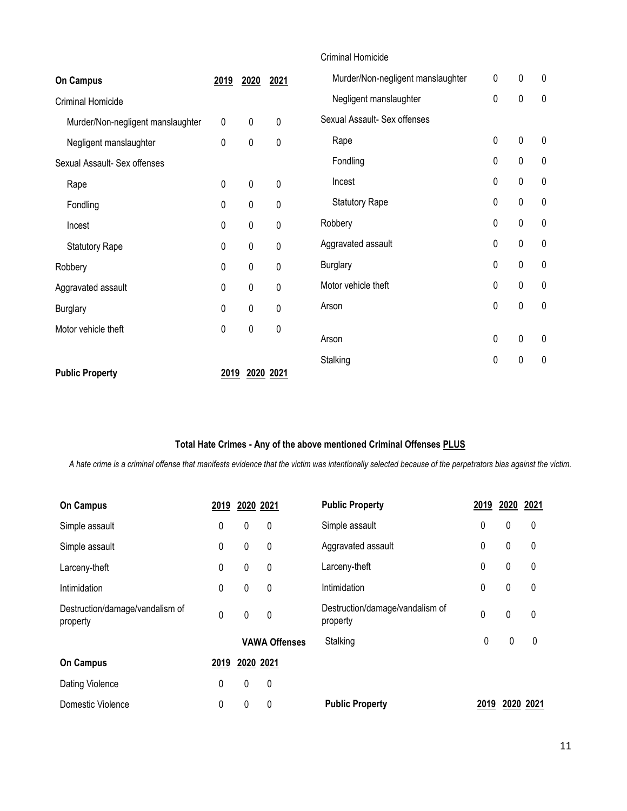|                                   |              |             |             | <b>Criminal Homicide</b>          |           |           |           |
|-----------------------------------|--------------|-------------|-------------|-----------------------------------|-----------|-----------|-----------|
| <b>On Campus</b>                  | 2019         | 2020        | 2021        | Murder/Non-negligent manslaughter | $\pmb{0}$ | $\pmb{0}$ | $\pmb{0}$ |
| Criminal Homicide                 |              |             |             | Negligent manslaughter            | 0         | 0         | $\pmb{0}$ |
| Murder/Non-negligent manslaughter | 0            | 0           | 0           | Sexual Assault- Sex offenses      |           |           |           |
| Negligent manslaughter            | 0            | 0           | $\mathbf 0$ | Rape                              | 0         | 0         | $\pmb{0}$ |
| Sexual Assault- Sex offenses      |              |             |             | Fondling                          | 0         | 0         | $\pmb{0}$ |
| Rape                              | 0            | 0           | $\pmb{0}$   | Incest                            | 0         | 0         | 0         |
| Fondling                          | $\mathbf{0}$ | 0           | 0           | <b>Statutory Rape</b>             | $\pmb{0}$ | 0         | $\pmb{0}$ |
| Incest                            | $\mathbf 0$  | $\pmb{0}$   | $\mathbf 0$ | Robbery                           | $\pmb{0}$ | 0         | $\pmb{0}$ |
| <b>Statutory Rape</b>             | $\mathbf 0$  | 0           | 0           | Aggravated assault                | $\pmb{0}$ | 0         | $\pmb{0}$ |
| Robbery                           | 0            | $\pmb{0}$   | $\mathbf 0$ | <b>Burglary</b>                   | 0         | 0         | $\pmb{0}$ |
| Aggravated assault                | $\mathbf 0$  | 0           | 0           | Motor vehicle theft               | 0         | 0         | $\pmb{0}$ |
| <b>Burglary</b>                   | $\mathbf{0}$ | $\mathbf 0$ | 0           | Arson                             | $\pmb{0}$ | 0         | $\pmb{0}$ |
| Motor vehicle theft               | $\mathbf 0$  | $\pmb{0}$   | $\pmb{0}$   | Arson                             | $\pmb{0}$ | 0         | $\pmb{0}$ |
|                                   |              |             |             | Stalking                          | 0         | 0         | 0         |
| <b>Public Property</b>            | 2019         |             | 2020 2021   |                                   |           |           |           |

#### **Total Hate Crimes - Any of the above mentioned Criminal Offenses PLUS**

*A hate crime is a criminal offense that manifests evidence that the victim was intentionally selected because of the perpetrators bias against the victim.*

| <b>On Campus</b>                            | 2019 | 2020 2021 |                      | <b>Public Property</b>                      | 2019 | 2020         | 2021 |
|---------------------------------------------|------|-----------|----------------------|---------------------------------------------|------|--------------|------|
| Simple assault                              | 0    | 0         | 0                    | Simple assault                              | 0    | 0            | 0    |
| Simple assault                              | 0    | 0         | $\mathbf 0$          | Aggravated assault                          | 0    | $\mathbf{0}$ | 0    |
| Larceny-theft                               | 0    | 0         | 0                    | Larceny-theft                               | 0    | 0            | 0    |
| Intimidation                                | 0    | 0         | 0                    | Intimidation                                | 0    | 0            | 0    |
| Destruction/damage/vandalism of<br>property | 0    | 0         | $\mathbf 0$          | Destruction/damage/vandalism of<br>property | 0    | 0            | 0    |
|                                             |      |           | <b>VAWA Offenses</b> | Stalking                                    | 0    | 0            | 0    |
| <b>On Campus</b>                            | 2019 | 2020 2021 |                      |                                             |      |              |      |
| Dating Violence                             | 0    | 0         | 0                    |                                             |      |              |      |
| Domestic Violence                           | 0    | 0         | 0                    | <b>Public Property</b>                      | 2019 | 2020         | 2021 |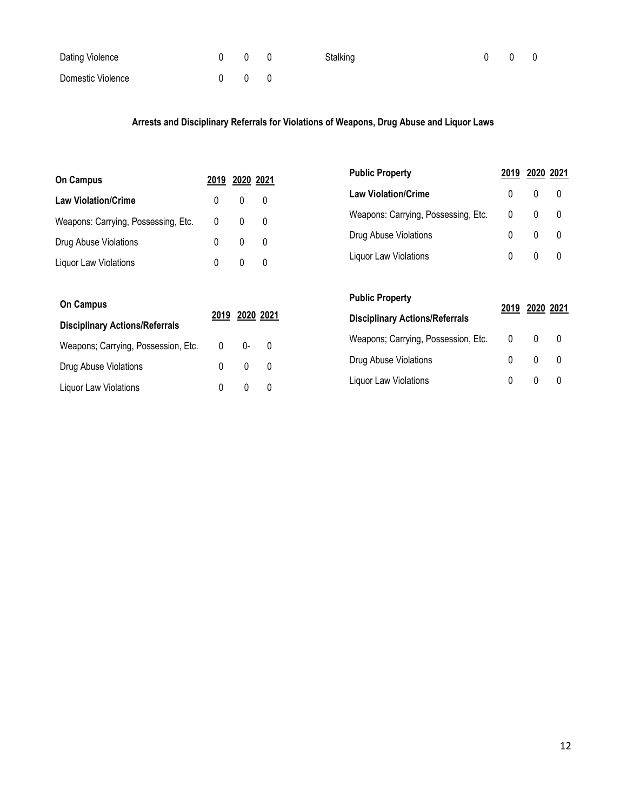| Dating Violence   | $0\qquad 0\qquad 0$ |  | Stalking | $0\quad 0\quad 0$ |  |
|-------------------|---------------------|--|----------|-------------------|--|
| Domestic Violence | $0 \quad 0 \quad 0$ |  |          |                   |  |

#### **Arrests and Disciplinary Referrals for Violations of Weapons, Drug Abuse and Liquor Laws**

| <b>On Campus</b>                      |      | 2020 2021 |             | <b>Public Property</b>                | 2019 | 2020 2021    |           |
|---------------------------------------|------|-----------|-------------|---------------------------------------|------|--------------|-----------|
|                                       | 2019 |           |             | <b>Law Violation/Crime</b>            | 0    | 0            | 0         |
| <b>Law Violation/Crime</b>            | 0    | 0         | 0           | Weapons: Carrying, Possessing, Etc.   | 0    | $\mathbf{0}$ | 0         |
| Weapons: Carrying, Possessing, Etc.   | 0    | 0         | $\mathbf 0$ | Drug Abuse Violations                 | 0    | 0            | 0         |
| Drug Abuse Violations                 | 0    | 0         | 0           | Liquor Law Violations                 | 0    | 0            | 0         |
| Liquor Law Violations                 | 0    | 0         | $\mathbf 0$ |                                       |      |              |           |
| <b>On Campus</b>                      |      |           |             | <b>Public Property</b>                |      |              |           |
| <b>Disciplinary Actions/Referrals</b> | 2019 |           | 2020 2021   | <b>Disciplinary Actions/Referrals</b> | 2019 |              | 2020 2021 |
| Weapons; Carrying, Possession, Etc.   | 0    | $0-$      | 0           | Weapons; Carrying, Possession, Etc.   | 0    | 0            | 0         |
| Drug Abuse Violations                 | 0    | 0         | 0           | Drug Abuse Violations                 | 0    | 0            | 0         |
| Liquor Law Violations                 | 0    | 0         | 0           | Liquor Law Violations                 | 0    | 0            | 0         |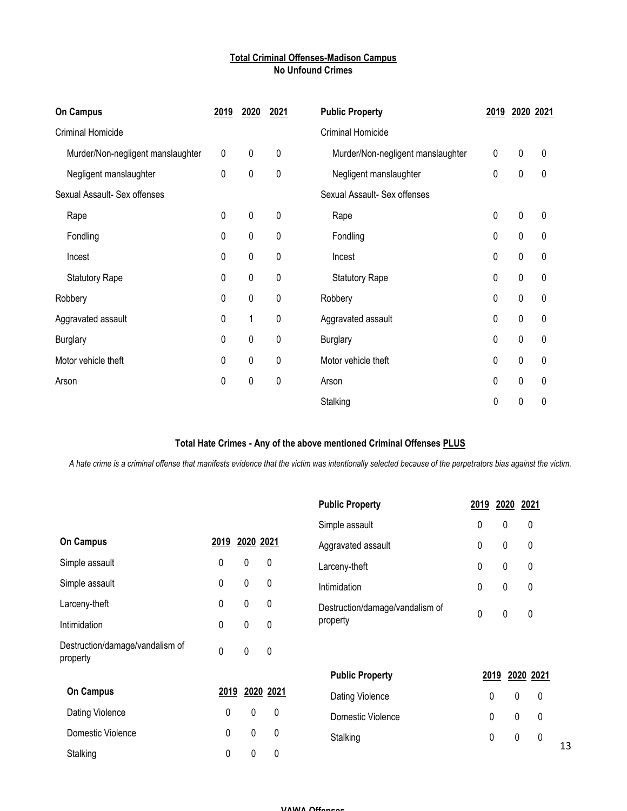#### **Total Criminal Offenses-Madison Campus No Unfound Crimes**

| <b>On Campus</b>                  | <u>2019</u> | 2020 | 2021        | <b>Public Property</b>            | <u>2019</u> | 2020 2021   |   |
|-----------------------------------|-------------|------|-------------|-----------------------------------|-------------|-------------|---|
| Criminal Homicide                 |             |      |             | Criminal Homicide                 |             |             |   |
| Murder/Non-negligent manslaughter | $\pmb{0}$   | 0    | $\pmb{0}$   | Murder/Non-negligent manslaughter | 0           | $\mathbf 0$ | 0 |
| Negligent manslaughter            | $\pmb{0}$   | 0    | $\pmb{0}$   | Negligent manslaughter            | 0           | 0           | 0 |
| Sexual Assault- Sex offenses      |             |      |             | Sexual Assault- Sex offenses      |             |             |   |
| Rape                              | $\pmb{0}$   | 0    | $\pmb{0}$   | Rape                              | 0           | 0           | 0 |
| Fondling                          | $\pmb{0}$   | 0    | $\pmb{0}$   | Fondling                          | 0           | $\mathbf 0$ | 0 |
| Incest                            | $\pmb{0}$   | 0    | $\pmb{0}$   | Incest                            | 0           | 0           | 0 |
| <b>Statutory Rape</b>             | $\pmb{0}$   | 0    | $\mathbf 0$ | <b>Statutory Rape</b>             | 0           | 0           | 0 |
| Robbery                           | $\pmb{0}$   | 0    | 0           | Robbery                           | 0           | 0           | 0 |
| Aggravated assault                | $\pmb{0}$   | 1    | 0           | Aggravated assault                | 0           | 0           | 0 |
| <b>Burglary</b>                   | $\pmb{0}$   | 0    | 0           | <b>Burglary</b>                   | 0           | 0           | 0 |
| Motor vehicle theft               | $\mathbf 0$ | 0    | 0           | Motor vehicle theft               | 0           | 0           | 0 |
| Arson                             | 0           | 0    | 0           | Arson                             | 0           | 0           | 0 |
|                                   |             |      |             | Stalking                          | 0           | 0           | 0 |

#### **Total Hate Crimes - Any of the above mentioned Criminal Offenses PLUS**

*A hate crime is a criminal offense that manifests evidence that the victim was intentionally selected because of the perpetrators bias against the victim.*

|                                             |             |             |             | <b>Public Property</b>          | 2019        | 2020 | 2021             |    |
|---------------------------------------------|-------------|-------------|-------------|---------------------------------|-------------|------|------------------|----|
|                                             |             |             |             | Simple assault                  | 0           | 0    | 0                |    |
| <b>On Campus</b>                            | 2019        | 2020 2021   |             | Aggravated assault              | 0           | 0    | 0                |    |
| Simple assault                              | 0           | $\pmb{0}$   | 0           | Larceny-theft                   | 0           | 0    | 0                |    |
| Simple assault                              | 0           | $\mathbf 0$ | $\mathbf 0$ | Intimidation                    | 0           | 0    | $\pmb{0}$        |    |
| Larceny-theft                               | 0           | $\pmb{0}$   | $\pmb{0}$   | Destruction/damage/vandalism of | $\mathbf 0$ | 0    |                  |    |
| Intimidation                                | 0           | $\mathbf 0$ | $\mathbf 0$ | property                        |             |      | $\pmb{0}$        |    |
| Destruction/damage/vandalism of<br>property | $\mathbf 0$ | 0           | $\mathbf 0$ |                                 |             |      |                  |    |
|                                             |             |             |             | <b>Public Property</b>          |             | 2019 | 2020 2021        |    |
| <b>On Campus</b>                            | 2019        |             | 2020 2021   | Dating Violence                 | 0           |      | $\mathbf 0$<br>0 |    |
| Dating Violence                             | 0           | $\mathbf 0$ | 0           | Domestic Violence               | 0           |      | $\mathbf 0$<br>0 |    |
| Domestic Violence                           | 0           | $\pmb{0}$   | $\mathbf 0$ | Stalking                        | 0           |      | $\mathbf 0$<br>0 |    |
| Stalking                                    | 0           | $\pmb{0}$   | $\mathbf 0$ |                                 |             |      |                  | 13 |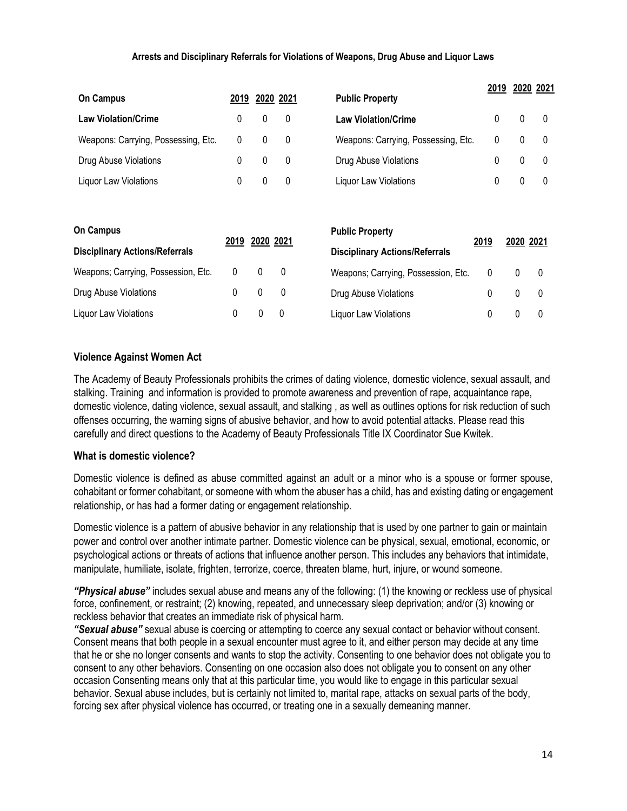#### **Arrests and Disciplinary Referrals for Violations of Weapons, Drug Abuse and Liquor Laws**

| <b>On Campus</b>                      | 2019         |           | 2020 2021 | <b>Public Property</b>                | 2019 |              | 2020 2021    |
|---------------------------------------|--------------|-----------|-----------|---------------------------------------|------|--------------|--------------|
|                                       |              |           |           |                                       |      |              |              |
| <b>Law Violation/Crime</b>            | 0            | 0         | 0         | <b>Law Violation/Crime</b>            | 0    | $\mathbf{0}$ | $\mathbf{0}$ |
| Weapons: Carrying, Possessing, Etc.   | 0            | 0         | 0         | Weapons: Carrying, Possessing, Etc.   | 0    | 0            | 0            |
| Drug Abuse Violations                 | 0            | 0         | 0         | Drug Abuse Violations                 | 0    | 0            | 0            |
| Liquor Law Violations                 | 0            | 0         | 0         | Liquor Law Violations                 | 0    | $\mathbf{0}$ | 0            |
|                                       |              |           |           |                                       |      |              |              |
| <b>On Campus</b>                      |              |           |           | <b>Public Property</b>                |      |              |              |
| <b>Disciplinary Actions/Referrals</b> | 2019         | 2020 2021 |           | <b>Disciplinary Actions/Referrals</b> | 2019 | 2020 2021    |              |
| Weapons; Carrying, Possession, Etc.   | $\mathbf{0}$ | 0         | 0         | Weapons; Carrying, Possession, Etc.   | 0    | $\mathbf{0}$ | $\mathbf 0$  |
| Drug Abuse Violations                 | 0            | 0         | 0         | Drug Abuse Violations                 | 0    | $\mathbf{0}$ | 0            |
| Liquor Law Violations                 | 0            | 0         | 0         | Liquor Law Violations                 | 0    | 0            | 0            |

#### **Violence Against Women Act**

The Academy of Beauty Professionals prohibits the crimes of dating violence, domestic violence, sexual assault, and stalking. Training and information is provided to promote awareness and prevention of rape, acquaintance rape, domestic violence, dating violence, sexual assault, and stalking , as well as outlines options for risk reduction of such offenses occurring, the warning signs of abusive behavior, and how to avoid potential attacks. Please read this carefully and direct questions to the Academy of Beauty Professionals Title IX Coordinator Sue Kwitek.

#### **What is domestic violence?**

Domestic violence is defined as abuse committed against an adult or a minor who is a spouse or former spouse, cohabitant or former cohabitant, or someone with whom the abuser has a child, has and existing dating or engagement relationship, or has had a former dating or engagement relationship.

Domestic violence is a pattern of abusive behavior in any relationship that is used by one partner to gain or maintain power and control over another intimate partner. Domestic violence can be physical, sexual, emotional, economic, or psychological actions or threats of actions that influence another person. This includes any behaviors that intimidate, manipulate, humiliate, isolate, frighten, terrorize, coerce, threaten blame, hurt, injure, or wound someone.

*"Physical abuse"* includes sexual abuse and means any of the following: (1) the knowing or reckless use of physical force, confinement, or restraint; (2) knowing, repeated, and unnecessary sleep deprivation; and/or (3) knowing or reckless behavior that creates an immediate risk of physical harm.

*"Sexual abuse"* sexual abuse is coercing or attempting to coerce any sexual contact or behavior without consent. Consent means that both people in a sexual encounter must agree to it, and either person may decide at any time that he or she no longer consents and wants to stop the activity. Consenting to one behavior does not obligate you to consent to any other behaviors. Consenting on one occasion also does not obligate you to consent on any other occasion Consenting means only that at this particular time, you would like to engage in this particular sexual behavior. Sexual abuse includes, but is certainly not limited to, marital rape, attacks on sexual parts of the body, forcing sex after physical violence has occurred, or treating one in a sexually demeaning manner.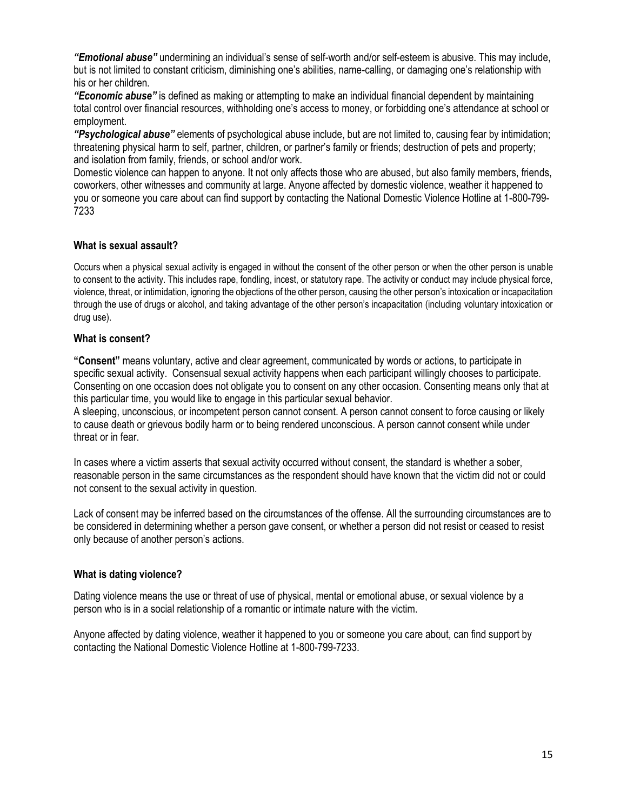*"Emotional abuse"* undermining an individual's sense of self-worth and/or self-esteem is abusive. This may include, but is not limited to constant criticism, diminishing one's abilities, name-calling, or damaging one's relationship with his or her children.

*"Economic abuse"* is defined as making or attempting to make an individual financial dependent by maintaining total control over financial resources, withholding one's access to money, or forbidding one's attendance at school or employment.

*"Psychological abuse"* elements of psychological abuse include, but are not limited to, causing fear by intimidation; threatening physical harm to self, partner, children, or partner's family or friends; destruction of pets and property; and isolation from family, friends, or school and/or work.

Domestic violence can happen to anyone. It not only affects those who are abused, but also family members, friends, coworkers, other witnesses and community at large. Anyone affected by domestic violence, weather it happened to you or someone you care about can find support by contacting the National Domestic Violence Hotline at 1-800-799- 7233

#### **What is sexual assault?**

Occurs when a physical sexual activity is engaged in without the consent of the other person or when the other person is unable to consent to the activity. This includes rape, fondling, incest, or statutory rape. The activity or conduct may include physical force, violence, threat, or intimidation, ignoring the objections of the other person, causing the other person's intoxication or incapacitation through the use of drugs or alcohol, and taking advantage of the other person's incapacitation (including voluntary intoxication or drug use).

#### **What is consent?**

**"Consent"** means voluntary, active and clear agreement, communicated by words or actions, to participate in specific sexual activity. Consensual sexual activity happens when each participant willingly chooses to participate. Consenting on one occasion does not obligate you to consent on any other occasion. Consenting means only that at this particular time, you would like to engage in this particular sexual behavior.

A sleeping, unconscious, or incompetent person cannot consent. A person cannot consent to force causing or likely to cause death or grievous bodily harm or to being rendered unconscious. A person cannot consent while under threat or in fear.

In cases where a victim asserts that sexual activity occurred without consent, the standard is whether a sober, reasonable person in the same circumstances as the respondent should have known that the victim did not or could not consent to the sexual activity in question.

Lack of consent may be inferred based on the circumstances of the offense. All the surrounding circumstances are to be considered in determining whether a person gave consent, or whether a person did not resist or ceased to resist only because of another person's actions.

#### **What is dating violence?**

Dating violence means the use or threat of use of physical, mental or emotional abuse, or sexual violence by a person who is in a social relationship of a romantic or intimate nature with the victim.

Anyone affected by dating violence, weather it happened to you or someone you care about, can find support by contacting the National Domestic Violence Hotline at 1-800-799-7233.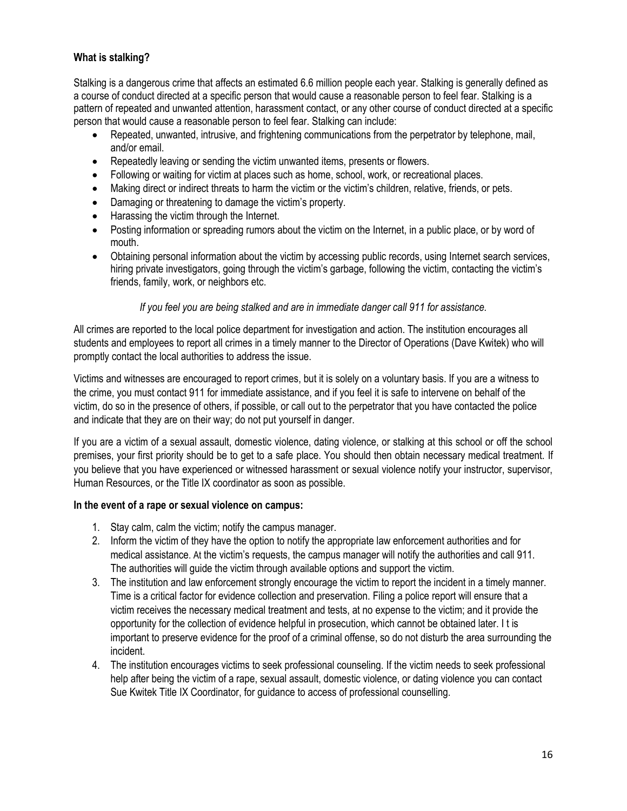#### **What is stalking?**

Stalking is a dangerous crime that affects an estimated 6.6 million people each year. Stalking is generally defined as a course of conduct directed at a specific person that would cause a reasonable person to feel fear. Stalking is a pattern of repeated and unwanted attention, harassment contact, or any other course of conduct directed at a specific person that would cause a reasonable person to feel fear. Stalking can include:

- Repeated, unwanted, intrusive, and frightening communications from the perpetrator by telephone, mail, and/or email.
- Repeatedly leaving or sending the victim unwanted items, presents or flowers.
- Following or waiting for victim at places such as home, school, work, or recreational places.
- Making direct or indirect threats to harm the victim or the victim's children, relative, friends, or pets.
- Damaging or threatening to damage the victim's property.
- Harassing the victim through the Internet.
- Posting information or spreading rumors about the victim on the Internet, in a public place, or by word of mouth.
- Obtaining personal information about the victim by accessing public records, using Internet search services, hiring private investigators, going through the victim's garbage, following the victim, contacting the victim's friends, family, work, or neighbors etc.

#### *If you feel you are being stalked and are in immediate danger call 911 for assistance.*

All crimes are reported to the local police department for investigation and action. The institution encourages all students and employees to report all crimes in a timely manner to the Director of Operations (Dave Kwitek) who will promptly contact the local authorities to address the issue.

Victims and witnesses are encouraged to report crimes, but it is solely on a voluntary basis. If you are a witness to the crime, you must contact 911 for immediate assistance, and if you feel it is safe to intervene on behalf of the victim, do so in the presence of others, if possible, or call out to the perpetrator that you have contacted the police and indicate that they are on their way; do not put yourself in danger.

If you are a victim of a sexual assault, domestic violence, dating violence, or stalking at this school or off the school premises, your first priority should be to get to a safe place. You should then obtain necessary medical treatment. If you believe that you have experienced or witnessed harassment or sexual violence notify your instructor, supervisor, Human Resources, or the Title IX coordinator as soon as possible.

#### **In the event of a rape or sexual violence on campus:**

- 1. Stay calm, calm the victim; notify the campus manager.
- 2. Inform the victim of they have the option to notify the appropriate law enforcement authorities and for medical assistance. At the victim's requests, the campus manager will notify the authorities and call 911. The authorities will guide the victim through available options and support the victim.
- 3. The institution and law enforcement strongly encourage the victim to report the incident in a timely manner. Time is a critical factor for evidence collection and preservation. Filing a police report will ensure that a victim receives the necessary medical treatment and tests, at no expense to the victim; and it provide the opportunity for the collection of evidence helpful in prosecution, which cannot be obtained later. I t is important to preserve evidence for the proof of a criminal offense, so do not disturb the area surrounding the incident.
- 4. The institution encourages victims to seek professional counseling. If the victim needs to seek professional help after being the victim of a rape, sexual assault, domestic violence, or dating violence you can contact Sue Kwitek Title IX Coordinator, for guidance to access of professional counselling.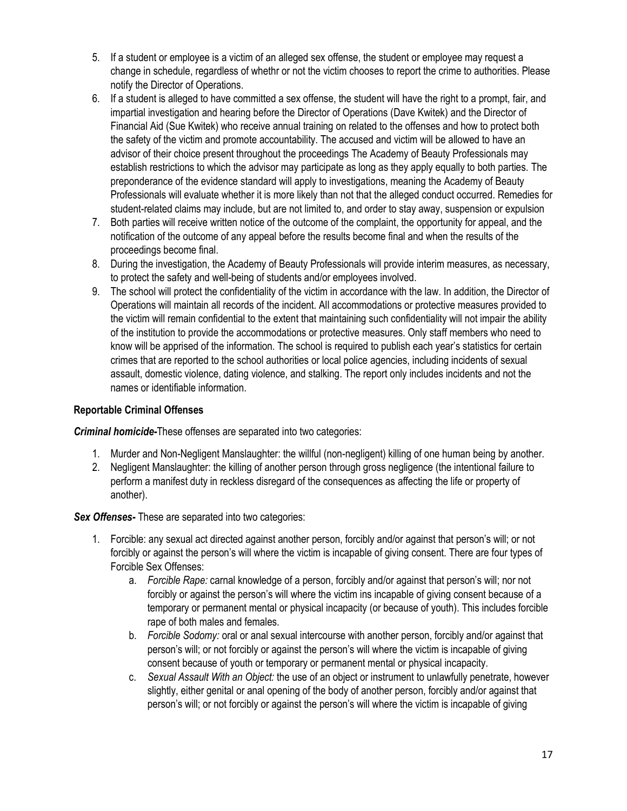- 5. If a student or employee is a victim of an alleged sex offense, the student or employee may request a change in schedule, regardless of whethr or not the victim chooses to report the crime to authorities. Please notify the Director of Operations.
- 6. If a student is alleged to have committed a sex offense, the student will have the right to a prompt, fair, and impartial investigation and hearing before the Director of Operations (Dave Kwitek) and the Director of Financial Aid (Sue Kwitek) who receive annual training on related to the offenses and how to protect both the safety of the victim and promote accountability. The accused and victim will be allowed to have an advisor of their choice present throughout the proceedings The Academy of Beauty Professionals may establish restrictions to which the advisor may participate as long as they apply equally to both parties. The preponderance of the evidence standard will apply to investigations, meaning the Academy of Beauty Professionals will evaluate whether it is more likely than not that the alleged conduct occurred. Remedies for student-related claims may include, but are not limited to, and order to stay away, suspension or expulsion
- 7. Both parties will receive written notice of the outcome of the complaint, the opportunity for appeal, and the notification of the outcome of any appeal before the results become final and when the results of the proceedings become final.
- 8. During the investigation, the Academy of Beauty Professionals will provide interim measures, as necessary, to protect the safety and well-being of students and/or employees involved.
- 9. The school will protect the confidentiality of the victim in accordance with the law. In addition, the Director of Operations will maintain all records of the incident. All accommodations or protective measures provided to the victim will remain confidential to the extent that maintaining such confidentiality will not impair the ability of the institution to provide the accommodations or protective measures. Only staff members who need to know will be apprised of the information. The school is required to publish each year's statistics for certain crimes that are reported to the school authorities or local police agencies, including incidents of sexual assault, domestic violence, dating violence, and stalking. The report only includes incidents and not the names or identifiable information.

#### **Reportable Criminal Offenses**

*Criminal homicide-*These offenses are separated into two categories:

- 1. Murder and Non-Negligent Manslaughter: the willful (non-negligent) killing of one human being by another.
- 2. Negligent Manslaughter: the killing of another person through gross negligence (the intentional failure to perform a manifest duty in reckless disregard of the consequences as affecting the life or property of another).

#### **Sex Offenses-** These are separated into two categories:

- 1. Forcible: any sexual act directed against another person, forcibly and/or against that person's will; or not forcibly or against the person's will where the victim is incapable of giving consent. There are four types of Forcible Sex Offenses:
	- a. *Forcible Rape:* carnal knowledge of a person, forcibly and/or against that person's will; nor not forcibly or against the person's will where the victim ins incapable of giving consent because of a temporary or permanent mental or physical incapacity (or because of youth). This includes forcible rape of both males and females.
	- b. *Forcible Sodomy:* oral or anal sexual intercourse with another person, forcibly and/or against that person's will; or not forcibly or against the person's will where the victim is incapable of giving consent because of youth or temporary or permanent mental or physical incapacity.
	- c. *Sexual Assault With an Object:* the use of an object or instrument to unlawfully penetrate, however slightly, either genital or anal opening of the body of another person, forcibly and/or against that person's will; or not forcibly or against the person's will where the victim is incapable of giving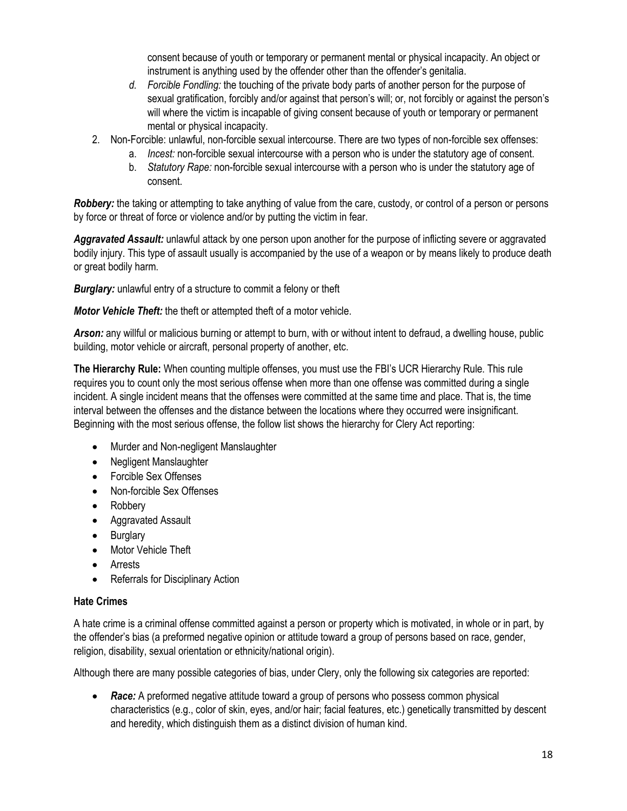consent because of youth or temporary or permanent mental or physical incapacity. An object or instrument is anything used by the offender other than the offender's genitalia.

- *d. Forcible Fondling:* the touching of the private body parts of another person for the purpose of sexual gratification, forcibly and/or against that person's will; or, not forcibly or against the person's will where the victim is incapable of giving consent because of youth or temporary or permanent mental or physical incapacity.
- 2. Non-Forcible: unlawful, non-forcible sexual intercourse. There are two types of non-forcible sex offenses:
	- a. *Incest:* non-forcible sexual intercourse with a person who is under the statutory age of consent.
	- b. *Statutory Rape:* non-forcible sexual intercourse with a person who is under the statutory age of consent.

*Robbery:* the taking or attempting to take anything of value from the care, custody, or control of a person or persons by force or threat of force or violence and/or by putting the victim in fear.

*Aggravated Assault:* unlawful attack by one person upon another for the purpose of inflicting severe or aggravated bodily injury. This type of assault usually is accompanied by the use of a weapon or by means likely to produce death or great bodily harm.

*Burglary:* unlawful entry of a structure to commit a felony or theft

*Motor Vehicle Theft:* the theft or attempted theft of a motor vehicle.

*Arson:* any willful or malicious burning or attempt to burn, with or without intent to defraud, a dwelling house, public building, motor vehicle or aircraft, personal property of another, etc.

**The Hierarchy Rule:** When counting multiple offenses, you must use the FBI's UCR Hierarchy Rule. This rule requires you to count only the most serious offense when more than one offense was committed during a single incident. A single incident means that the offenses were committed at the same time and place. That is, the time interval between the offenses and the distance between the locations where they occurred were insignificant. Beginning with the most serious offense, the follow list shows the hierarchy for Clery Act reporting:

- Murder and Non-negligent Manslaughter
- Negligent Manslaughter
- Forcible Sex Offenses
- Non-forcible Sex Offenses
- Robbery
- Aggravated Assault
- Burglary
- Motor Vehicle Theft
- **Arrests**
- Referrals for Disciplinary Action

#### **Hate Crimes**

A hate crime is a criminal offense committed against a person or property which is motivated, in whole or in part, by the offender's bias (a preformed negative opinion or attitude toward a group of persons based on race, gender, religion, disability, sexual orientation or ethnicity/national origin).

Although there are many possible categories of bias, under Clery, only the following six categories are reported:

• **Race:** A preformed negative attitude toward a group of persons who possess common physical characteristics (e.g., color of skin, eyes, and/or hair; facial features, etc.) genetically transmitted by descent and heredity, which distinguish them as a distinct division of human kind.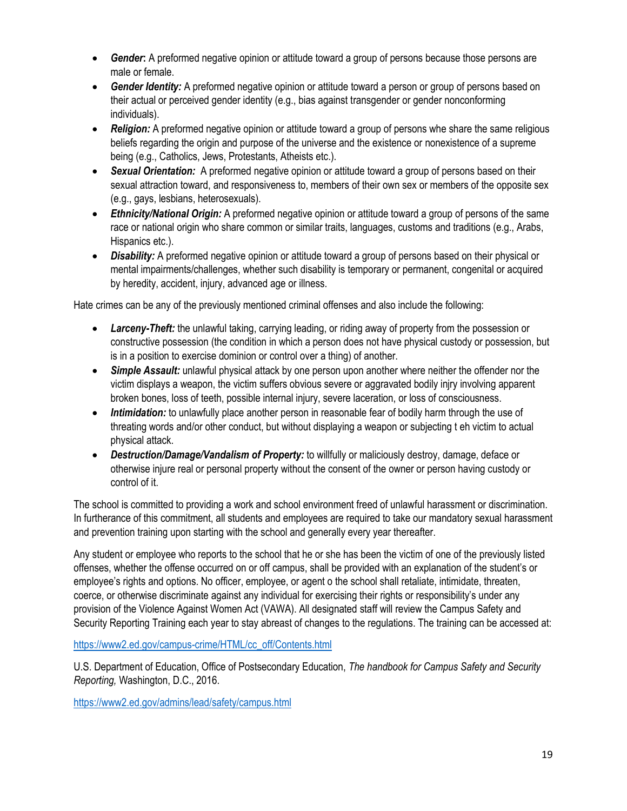- *Gender***:** A preformed negative opinion or attitude toward a group of persons because those persons are male or female.
- **Gender Identity:** A preformed negative opinion or attitude toward a person or group of persons based on their actual or perceived gender identity (e.g., bias against transgender or gender nonconforming individuals).
- **Religion:** A preformed negative opinion or attitude toward a group of persons whe share the same religious beliefs regarding the origin and purpose of the universe and the existence or nonexistence of a supreme being (e.g., Catholics, Jews, Protestants, Atheists etc.).
- *Sexual Orientation:* A preformed negative opinion or attitude toward a group of persons based on their sexual attraction toward, and responsiveness to, members of their own sex or members of the opposite sex (e.g., gays, lesbians, heterosexuals).
- *Ethnicity/National Origin:* A preformed negative opinion or attitude toward a group of persons of the same race or national origin who share common or similar traits, languages, customs and traditions (e.g., Arabs, Hispanics etc.).
- *Disability:* A preformed negative opinion or attitude toward a group of persons based on their physical or mental impairments/challenges, whether such disability is temporary or permanent, congenital or acquired by heredity, accident, injury, advanced age or illness.

Hate crimes can be any of the previously mentioned criminal offenses and also include the following:

- *Larceny-Theft:* the unlawful taking, carrying leading, or riding away of property from the possession or constructive possession (the condition in which a person does not have physical custody or possession, but is in a position to exercise dominion or control over a thing) of another.
- **Simple Assault:** unlawful physical attack by one person upon another where neither the offender nor the victim displays a weapon, the victim suffers obvious severe or aggravated bodily injry involving apparent broken bones, loss of teeth, possible internal injury, severe laceration, or loss of consciousness.
- *Intimidation:* to unlawfully place another person in reasonable fear of bodily harm through the use of threating words and/or other conduct, but without displaying a weapon or subjecting t eh victim to actual physical attack.
- *Destruction/Damage/Vandalism of Property:* to willfully or maliciously destroy, damage, deface or otherwise injure real or personal property without the consent of the owner or person having custody or control of it.

The school is committed to providing a work and school environment freed of unlawful harassment or discrimination. In furtherance of this commitment, all students and employees are required to take our mandatory sexual harassment and prevention training upon starting with the school and generally every year thereafter.

Any student or employee who reports to the school that he or she has been the victim of one of the previously listed offenses, whether the offense occurred on or off campus, shall be provided with an explanation of the student's or employee's rights and options. No officer, employee, or agent o the school shall retaliate, intimidate, threaten, coerce, or otherwise discriminate against any individual for exercising their rights or responsibility's under any provision of the Violence Against Women Act (VAWA). All designated staff will review the Campus Safety and Security Reporting Training each year to stay abreast of changes to the regulations. The training can be accessed at:

[https://www2.ed.gov/campus-crime/HTML/cc\\_off/Contents.html](https://www2.ed.gov/campus-crime/HTML/cc_off/Contents.html)

U.S. Department of Education, Office of Postsecondary Education, *The handbook for Campus Safety and Security Reporting,* Washington, D.C., 2016.

<https://www2.ed.gov/admins/lead/safety/campus.html>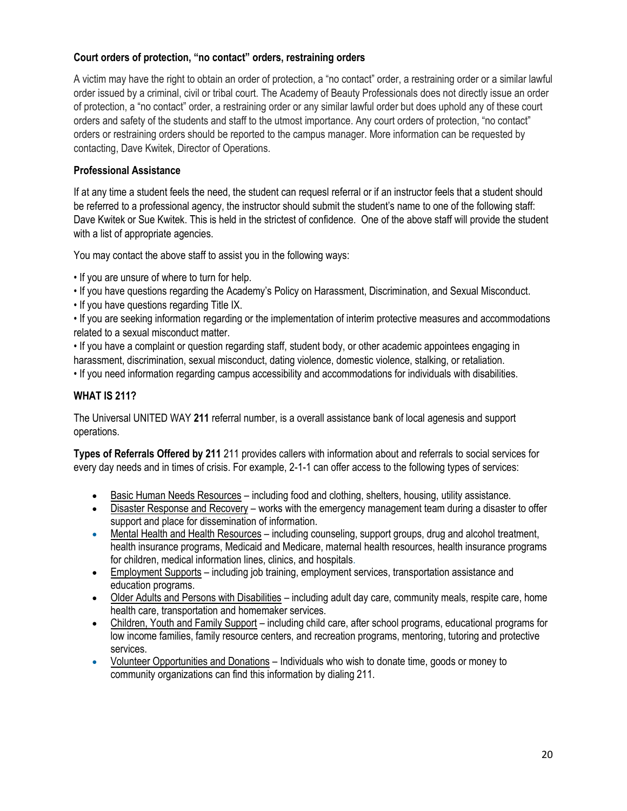#### **Court orders of protection, "no contact" orders, restraining orders**

A victim may have the right to obtain an order of protection, a "no contact" order, a restraining order or a similar lawful order issued by a criminal, civil or tribal court. The Academy of Beauty Professionals does not directly issue an order of protection, a "no contact" order, a restraining order or any similar lawful order but does uphold any of these court orders and safety of the students and staff to the utmost importance. Any court orders of protection, "no contact" orders or restraining orders should be reported to the campus manager. More information can be requested by contacting, Dave Kwitek, Director of Operations.

#### **Professional Assistance**

If at any time a student feels the need, the student can requesl referral or if an instructor feels that a student should be referred to a professional agency, the instructor should submit the student's name to one of the following staff: Dave Kwitek or Sue Kwitek. This is held in the strictest of confidence. One of the above staff will provide the student with a list of appropriate agencies.

You may contact the above staff to assist you in the following ways:

- If you are unsure of where to turn for help.
- If you have questions regarding the Academy's Policy on Harassment, Discrimination, and Sexual Misconduct.
- If you have questions regarding Title IX.

• If you are seeking information regarding or the implementation of interim protective measures and accommodations related to a sexual misconduct matter.

• If you have a complaint or question regarding staff, student body, or other academic appointees engaging in harassment, discrimination, sexual misconduct, dating violence, domestic violence, stalking, or retaliation.

• If you need information regarding campus accessibility and accommodations for individuals with disabilities.

#### **WHAT IS 211?**

The Universal UNITED WAY **211** referral number, is a overall assistance bank of local agenesis and support operations.

**Types of Referrals Offered by 211** 211 provides callers with information about and referrals to social services for every day needs and in times of crisis. For example, 2-1-1 can offer access to the following types of services:

- Basic Human Needs Resources including food and clothing, shelters, housing, utility assistance.
- Disaster Response and Recovery works with the emergency management team during a disaster to offer support and place for dissemination of information.
- Mental Health and Health Resources including counseling, support groups, drug and alcohol treatment, health insurance programs, Medicaid and Medicare, maternal health resources, health insurance programs for children, medical information lines, clinics, and hospitals.
- Employment Supports including job training, employment services, transportation assistance and education programs.
- Older Adults and Persons with Disabilities including adult day care, community meals, respite care, home health care, transportation and homemaker services.
- Children, Youth and Family Support including child care, after school programs, educational programs for low income families, family resource centers, and recreation programs, mentoring, tutoring and protective services.
- Volunteer Opportunities and Donations Individuals who wish to donate time, goods or money to community organizations can find this information by dialing 211.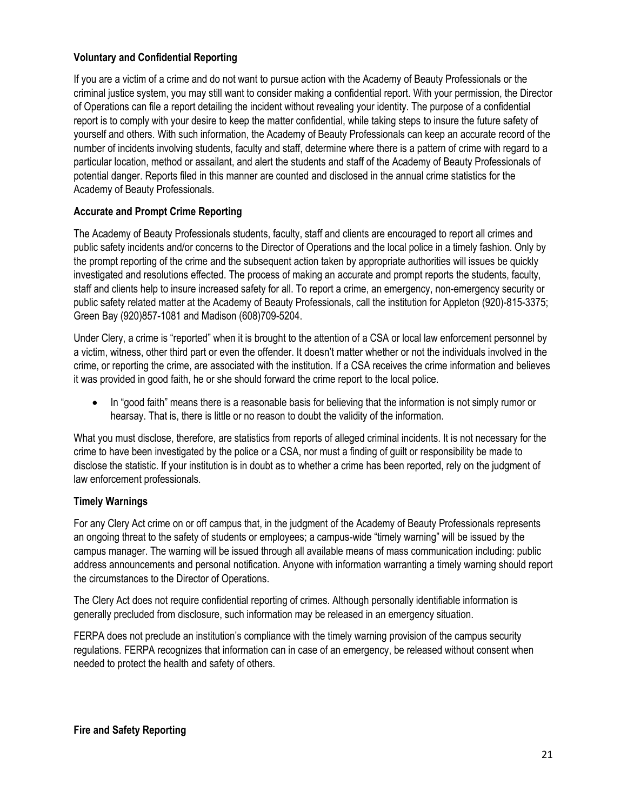#### **Voluntary and Confidential Reporting**

If you are a victim of a crime and do not want to pursue action with the Academy of Beauty Professionals or the criminal justice system, you may still want to consider making a confidential report. With your permission, the Director of Operations can file a report detailing the incident without revealing your identity. The purpose of a confidential report is to comply with your desire to keep the matter confidential, while taking steps to insure the future safety of yourself and others. With such information, the Academy of Beauty Professionals can keep an accurate record of the number of incidents involving students, faculty and staff, determine where there is a pattern of crime with regard to a particular location, method or assailant, and alert the students and staff of the Academy of Beauty Professionals of potential danger. Reports filed in this manner are counted and disclosed in the annual crime statistics for the Academy of Beauty Professionals.

#### **Accurate and Prompt Crime Reporting**

The Academy of Beauty Professionals students, faculty, staff and clients are encouraged to report all crimes and public safety incidents and/or concerns to the Director of Operations and the local police in a timely fashion. Only by the prompt reporting of the crime and the subsequent action taken by appropriate authorities will issues be quickly investigated and resolutions effected. The process of making an accurate and prompt reports the students, faculty, staff and clients help to insure increased safety for all. To report a crime, an emergency, non-emergency security or public safety related matter at the Academy of Beauty Professionals, call the institution for Appleton (920)-815-3375; Green Bay (920)857-1081 and Madison (608)709-5204.

Under Clery, a crime is "reported" when it is brought to the attention of a CSA or local law enforcement personnel by a victim, witness, other third part or even the offender. It doesn't matter whether or not the individuals involved in the crime, or reporting the crime, are associated with the institution. If a CSA receives the crime information and believes it was provided in good faith, he or she should forward the crime report to the local police.

• In "good faith" means there is a reasonable basis for believing that the information is not simply rumor or hearsay. That is, there is little or no reason to doubt the validity of the information.

What you must disclose, therefore, are statistics from reports of alleged criminal incidents. It is not necessary for the crime to have been investigated by the police or a CSA, nor must a finding of guilt or responsibility be made to disclose the statistic. If your institution is in doubt as to whether a crime has been reported, rely on the judgment of law enforcement professionals.

#### **Timely Warnings**

For any Clery Act crime on or off campus that, in the judgment of the Academy of Beauty Professionals represents an ongoing threat to the safety of students or employees; a campus-wide "timely warning" will be issued by the campus manager. The warning will be issued through all available means of mass communication including: public address announcements and personal notification. Anyone with information warranting a timely warning should report the circumstances to the Director of Operations.

The Clery Act does not require confidential reporting of crimes. Although personally identifiable information is generally precluded from disclosure, such information may be released in an emergency situation.

FERPA does not preclude an institution's compliance with the timely warning provision of the campus security regulations. FERPA recognizes that information can in case of an emergency, be released without consent when needed to protect the health and safety of others.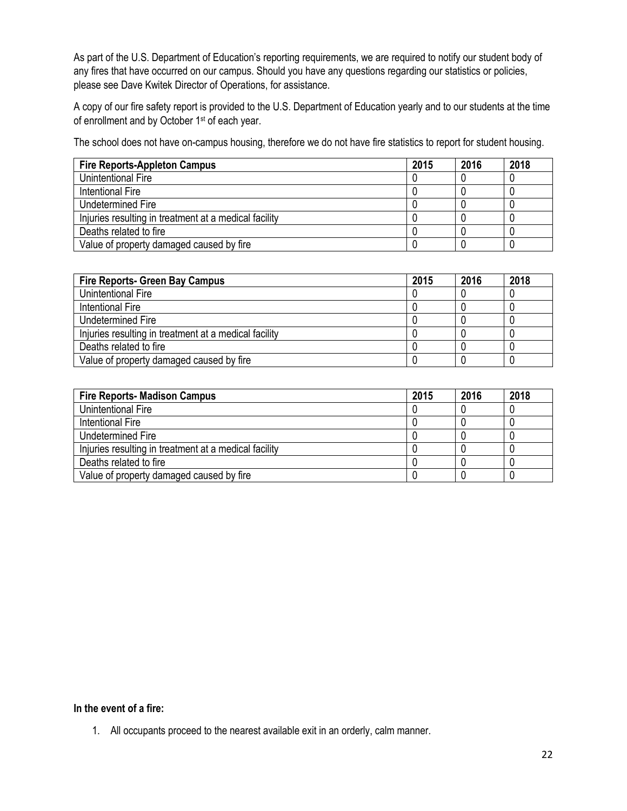As part of the U.S. Department of Education's reporting requirements, we are required to notify our student body of any fires that have occurred on our campus. Should you have any questions regarding our statistics or policies, please see Dave Kwitek Director of Operations, for assistance.

A copy of our fire safety report is provided to the U.S. Department of Education yearly and to our students at the time of enrollment and by October 1<sup>st</sup> of each year.

The school does not have on-campus housing, therefore we do not have fire statistics to report for student housing.

| <b>Fire Reports-Appleton Campus</b>                   | 2015 | 2016 | 2018 |
|-------------------------------------------------------|------|------|------|
| Unintentional Fire                                    |      |      |      |
| Intentional Fire                                      |      |      |      |
| Undetermined Fire                                     |      |      |      |
| Injuries resulting in treatment at a medical facility |      |      |      |
| Deaths related to fire                                |      |      |      |
| Value of property damaged caused by fire              |      |      |      |

| <b>Fire Reports- Green Bay Campus</b>                 | 2015 | 2016 | 2018 |
|-------------------------------------------------------|------|------|------|
| Unintentional Fire                                    |      |      |      |
| Intentional Fire                                      |      |      |      |
| Undetermined Fire                                     |      |      |      |
| Injuries resulting in treatment at a medical facility |      |      |      |
| Deaths related to fire                                |      |      |      |
| Value of property damaged caused by fire              |      |      |      |

| <b>Fire Reports- Madison Campus</b>                   | 2015 | 2016 | 2018 |
|-------------------------------------------------------|------|------|------|
| Unintentional Fire                                    |      |      |      |
| Intentional Fire                                      |      |      |      |
| Undetermined Fire                                     |      |      |      |
| Injuries resulting in treatment at a medical facility |      |      |      |
| Deaths related to fire                                |      |      |      |
| Value of property damaged caused by fire              |      |      |      |

#### **In the event of a fire:**

1. All occupants proceed to the nearest available exit in an orderly, calm manner.